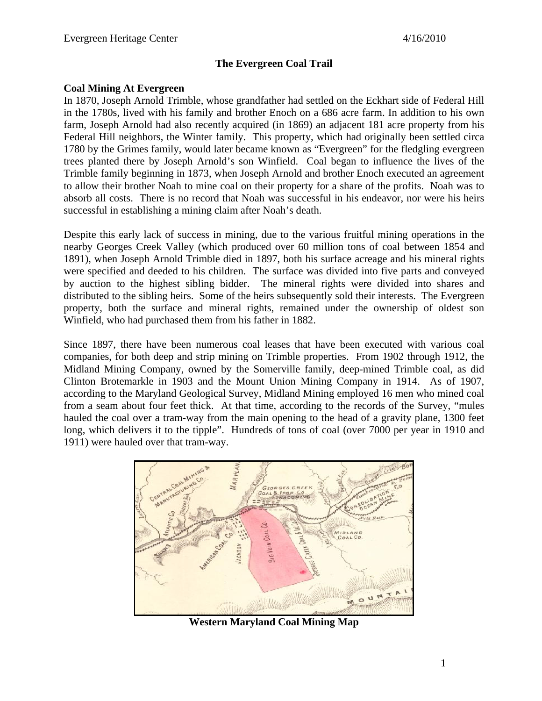## **The Evergreen Coal Trail**

### **Coal Mining At Evergreen**

In 1870, Joseph Arnold Trimble, whose grandfather had settled on the Eckhart side of Federal Hill in the 1780s, lived with his family and brother Enoch on a 686 acre farm. In addition to his own farm, Joseph Arnold had also recently acquired (in 1869) an adjacent 181 acre property from his Federal Hill neighbors, the Winter family. This property, which had originally been settled circa 1780 by the Grimes family, would later became known as "Evergreen" for the fledgling evergreen trees planted there by Joseph Arnold's son Winfield. Coal began to influence the lives of the Trimble family beginning in 1873, when Joseph Arnold and brother Enoch executed an agreement to allow their brother Noah to mine coal on their property for a share of the profits. Noah was to absorb all costs. There is no record that Noah was successful in his endeavor, nor were his heirs successful in establishing a mining claim after Noah's death.

Despite this early lack of success in mining, due to the various fruitful mining operations in the nearby Georges Creek Valley (which produced over 60 million tons of coal between 1854 and 1891), when Joseph Arnold Trimble died in 1897, both his surface acreage and his mineral rights were specified and deeded to his children. The surface was divided into five parts and conveyed by auction to the highest sibling bidder. The mineral rights were divided into shares and distributed to the sibling heirs. Some of the heirs subsequently sold their interests. The Evergreen property, both the surface and mineral rights, remained under the ownership of oldest son Winfield, who had purchased them from his father in 1882.

Since 1897, there have been numerous coal leases that have been executed with various coal companies, for both deep and strip mining on Trimble properties. From 1902 through 1912, the Midland Mining Company, owned by the Somerville family, deep-mined Trimble coal, as did Clinton Brotemarkle in 1903 and the Mount Union Mining Company in 1914. As of 1907, according to the Maryland Geological Survey, Midland Mining employed 16 men who mined coal from a seam about four feet thick. At that time, according to the records of the Survey, "mules hauled the coal over a tram-way from the main opening to the head of a gravity plane, 1300 feet long, which delivers it to the tipple". Hundreds of tons of coal (over 7000 per year in 1910 and 1911) were hauled over that tram-way.



**Western Maryland Coal Mining Map**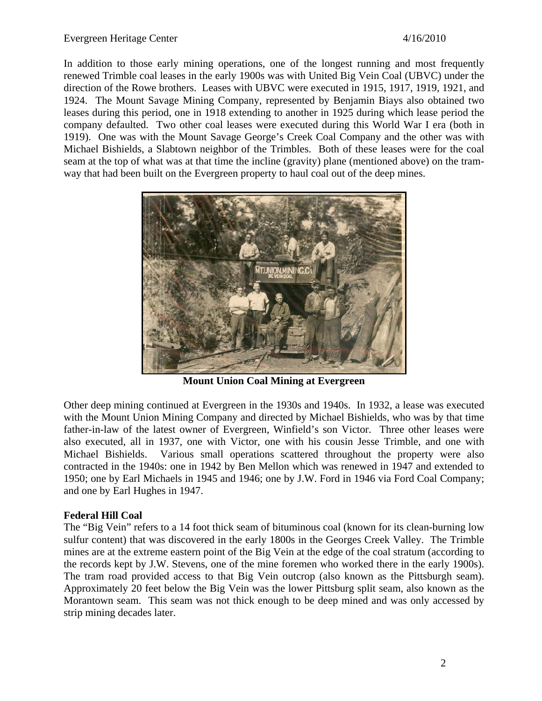In addition to those early mining operations, one of the longest running and most frequently renewed Trimble coal leases in the early 1900s was with United Big Vein Coal (UBVC) under the direction of the Rowe brothers. Leases with UBVC were executed in 1915, 1917, 1919, 1921, and 1924. The Mount Savage Mining Company, represented by Benjamin Biays also obtained two leases during this period, one in 1918 extending to another in 1925 during which lease period the company defaulted. Two other coal leases were executed during this World War I era (both in 1919). One was with the Mount Savage George's Creek Coal Company and the other was with Michael Bishields, a Slabtown neighbor of the Trimbles. Both of these leases were for the coal seam at the top of what was at that time the incline (gravity) plane (mentioned above) on the tramway that had been built on the Evergreen property to haul coal out of the deep mines.



**Mount Union Coal Mining at Evergreen** 

Other deep mining continued at Evergreen in the 1930s and 1940s. In 1932, a lease was executed with the Mount Union Mining Company and directed by Michael Bishields, who was by that time father-in-law of the latest owner of Evergreen, Winfield's son Victor. Three other leases were also executed, all in 1937, one with Victor, one with his cousin Jesse Trimble, and one with Michael Bishields. Various small operations scattered throughout the property were also contracted in the 1940s: one in 1942 by Ben Mellon which was renewed in 1947 and extended to 1950; one by Earl Michaels in 1945 and 1946; one by J.W. Ford in 1946 via Ford Coal Company; and one by Earl Hughes in 1947.

# **Federal Hill Coal**

The "Big Vein" refers to a 14 foot thick seam of bituminous coal (known for its clean-burning low sulfur content) that was discovered in the early 1800s in the Georges Creek Valley. The Trimble mines are at the extreme eastern point of the Big Vein at the edge of the coal stratum (according to the records kept by J.W. Stevens, one of the mine foremen who worked there in the early 1900s). The tram road provided access to that Big Vein outcrop (also known as the Pittsburgh seam). Approximately 20 feet below the Big Vein was the lower Pittsburg split seam, also known as the Morantown seam. This seam was not thick enough to be deep mined and was only accessed by strip mining decades later.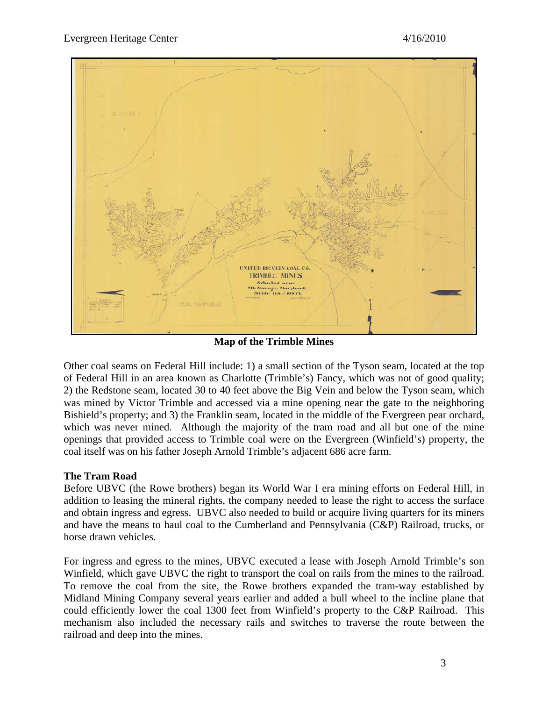

**Map of the Trimble Mines** 

Other coal seams on Federal Hill include: 1) a small section of the Tyson seam, located at the top of Federal Hill in an area known as Charlotte (Trimble's) Fancy, which was not of good quality; 2) the Redstone seam, located 30 to 40 feet above the Big Vein and below the Tyson seam, which was mined by Victor Trimble and accessed via a mine opening near the gate to the neighboring Bishield's property; and 3) the Franklin seam, located in the middle of the Evergreen pear orchard, which was never mined. Although the majority of the tram road and all but one of the mine openings that provided access to Trimble coal were on the Evergreen (Winfield's) property, the coal itself was on his father Joseph Arnold Trimble's adjacent 686 acre farm.

#### **The Tram Road**

Before UBVC (the Rowe brothers) began its World War I era mining efforts on Federal Hill, in addition to leasing the mineral rights, the company needed to lease the right to access the surface and obtain ingress and egress. UBVC also needed to build or acquire living quarters for its miners and have the means to haul coal to the Cumberland and Pennsylvania (C&P) Railroad, trucks, or horse drawn vehicles.

For ingress and egress to the mines, UBVC executed a lease with Joseph Arnold Trimble's son Winfield, which gave UBVC the right to transport the coal on rails from the mines to the railroad. To remove the coal from the site, the Rowe brothers expanded the tram-way established by Midland Mining Company several years earlier and added a bull wheel to the incline plane that could efficiently lower the coal 1300 feet from Winfield's property to the C&P Railroad. This mechanism also included the necessary rails and switches to traverse the route between the railroad and deep into the mines.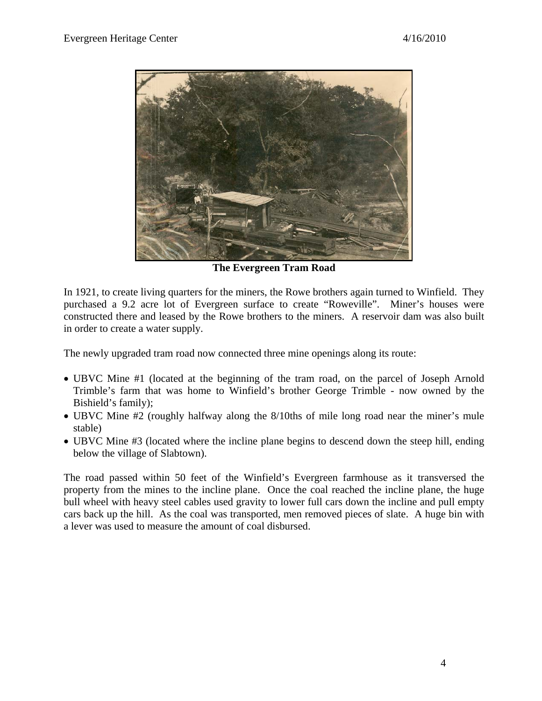

**The Evergreen Tram Road** 

In 1921, to create living quarters for the miners, the Rowe brothers again turned to Winfield. They purchased a 9.2 acre lot of Evergreen surface to create "Roweville". Miner's houses were constructed there and leased by the Rowe brothers to the miners. A reservoir dam was also built in order to create a water supply.

The newly upgraded tram road now connected three mine openings along its route:

- UBVC Mine #1 (located at the beginning of the tram road, on the parcel of Joseph Arnold Trimble's farm that was home to Winfield's brother George Trimble - now owned by the Bishield's family);
- UBVC Mine #2 (roughly halfway along the 8/10ths of mile long road near the miner's mule stable)
- UBVC Mine #3 (located where the incline plane begins to descend down the steep hill, ending below the village of Slabtown).

The road passed within 50 feet of the Winfield's Evergreen farmhouse as it transversed the property from the mines to the incline plane. Once the coal reached the incline plane, the huge bull wheel with heavy steel cables used gravity to lower full cars down the incline and pull empty cars back up the hill. As the coal was transported, men removed pieces of slate. A huge bin with a lever was used to measure the amount of coal disbursed.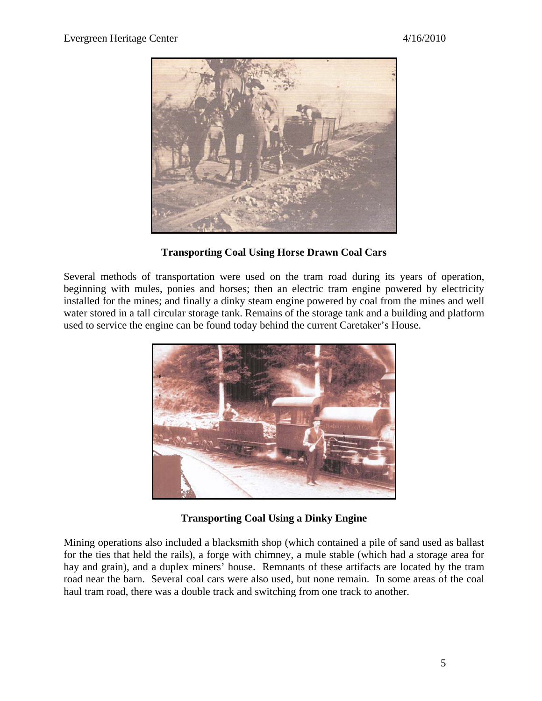

**Transporting Coal Using Horse Drawn Coal Cars** 

Several methods of transportation were used on the tram road during its years of operation, beginning with mules, ponies and horses; then an electric tram engine powered by electricity installed for the mines; and finally a dinky steam engine powered by coal from the mines and well water stored in a tall circular storage tank. Remains of the storage tank and a building and platform used to service the engine can be found today behind the current Caretaker's House.



**Transporting Coal Using a Dinky Engine** 

Mining operations also included a blacksmith shop (which contained a pile of sand used as ballast for the ties that held the rails), a forge with chimney, a mule stable (which had a storage area for hay and grain), and a duplex miners' house. Remnants of these artifacts are located by the tram road near the barn. Several coal cars were also used, but none remain. In some areas of the coal haul tram road, there was a double track and switching from one track to another.